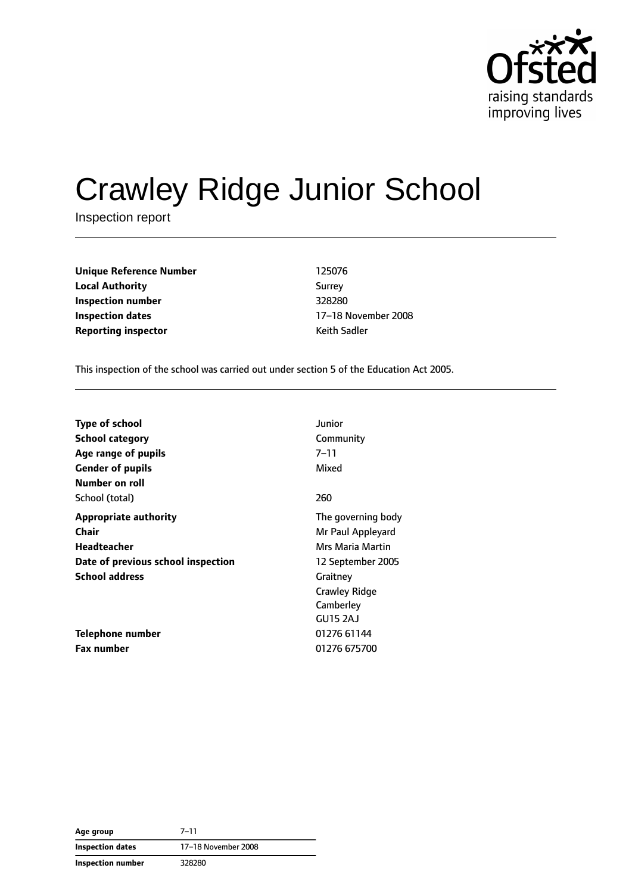

# Crawley Ridge Junior School

Inspection report

**Unique Reference Number** 125076 **Local Authority** Surrey **Inspection number** 328280 **Inspection dates** 17–18 November 2008 **Reporting inspector CONFIDENTIAL REPORTING KEITH SADDER** Keith Sadler

This inspection of the school was carried out under section 5 of the Education Act 2005.

| <b>Type of school</b>              | Junior             |
|------------------------------------|--------------------|
| <b>School category</b>             | Community          |
| Age range of pupils                | $7 - 11$           |
| <b>Gender of pupils</b>            | Mixed              |
| Number on roll                     |                    |
| School (total)                     | 260                |
| <b>Appropriate authority</b>       | The governing body |
| Chair                              | Mr Paul Appleyard  |
| Headteacher                        | Mrs Maria Martin   |
| Date of previous school inspection | 12 September 2005  |
| <b>School address</b>              | Graitney           |
|                                    | Crawley Ridge      |
|                                    | Camberley          |
|                                    | GU15 2AJ           |
| Telephone number                   | 01276 61144        |
| <b>Fax number</b>                  | 01276 675700       |

| Age group         | $7 - 11$            |
|-------------------|---------------------|
| Inspection dates  | 17-18 November 2008 |
| Inspection number | 328280              |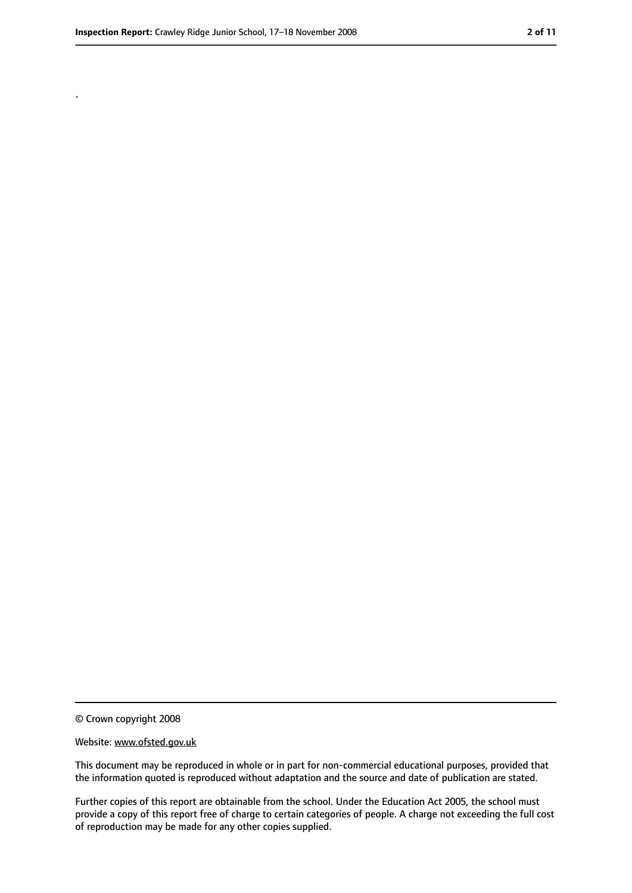.

<sup>©</sup> Crown copyright 2008

Website: www.ofsted.gov.uk

This document may be reproduced in whole or in part for non-commercial educational purposes, provided that the information quoted is reproduced without adaptation and the source and date of publication are stated.

Further copies of this report are obtainable from the school. Under the Education Act 2005, the school must provide a copy of this report free of charge to certain categories of people. A charge not exceeding the full cost of reproduction may be made for any other copies supplied.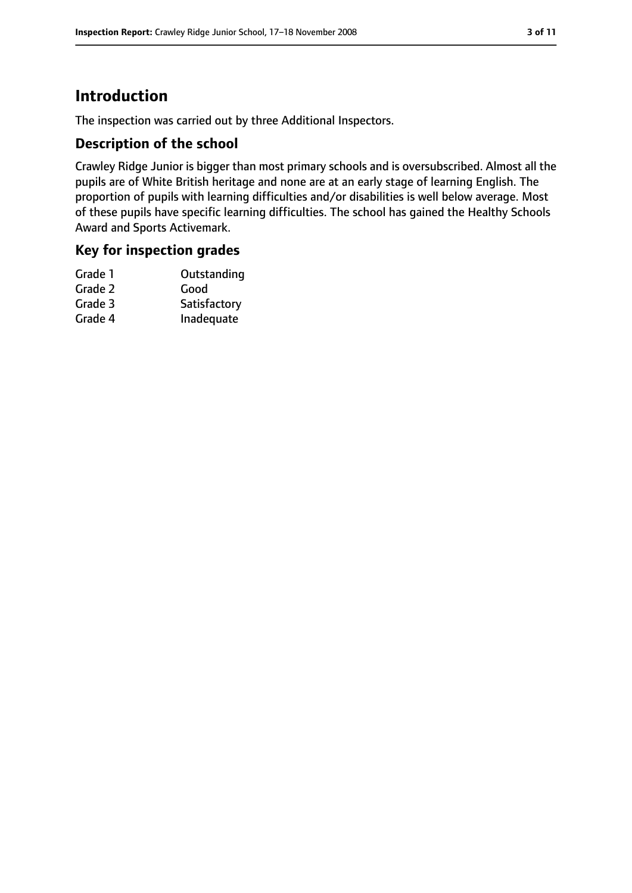# **Introduction**

The inspection was carried out by three Additional Inspectors.

## **Description of the school**

Crawley Ridge Junior is bigger than most primary schools and is oversubscribed. Almost all the pupils are of White British heritage and none are at an early stage of learning English. The proportion of pupils with learning difficulties and/or disabilities is well below average. Most of these pupils have specific learning difficulties. The school has gained the Healthy Schools Award and Sports Activemark.

## **Key for inspection grades**

| Grade 1 | Outstanding  |
|---------|--------------|
| Grade 2 | Good         |
| Grade 3 | Satisfactory |
| Grade 4 | Inadequate   |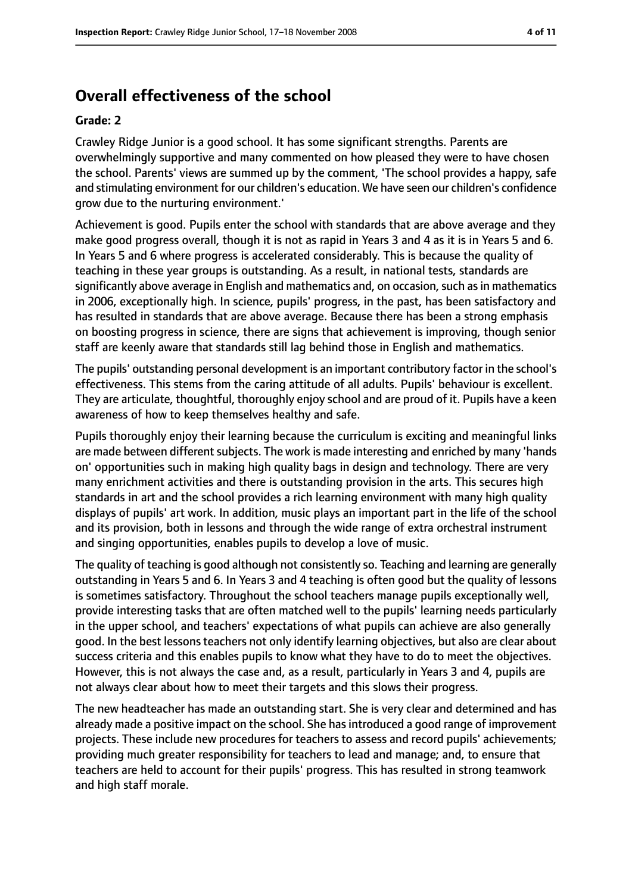# **Overall effectiveness of the school**

#### **Grade: 2**

Crawley Ridge Junior is a good school. It has some significant strengths. Parents are overwhelmingly supportive and many commented on how pleased they were to have chosen the school. Parents' views are summed up by the comment, 'The school provides a happy, safe and stimulating environment for our children's education. We have seen our children's confidence grow due to the nurturing environment.'

Achievement is good. Pupils enter the school with standards that are above average and they make good progress overall, though it is not as rapid in Years 3 and 4 as it is in Years 5 and 6. In Years 5 and 6 where progress is accelerated considerably. This is because the quality of teaching in these year groups is outstanding. As a result, in national tests, standards are significantly above average in English and mathematics and, on occasion, such as in mathematics in 2006, exceptionally high. In science, pupils' progress, in the past, has been satisfactory and has resulted in standards that are above average. Because there has been a strong emphasis on boosting progress in science, there are signs that achievement is improving, though senior staff are keenly aware that standards still lag behind those in English and mathematics.

The pupils' outstanding personal development is an important contributory factor in the school's effectiveness. This stems from the caring attitude of all adults. Pupils' behaviour is excellent. They are articulate, thoughtful, thoroughly enjoy school and are proud of it. Pupils have a keen awareness of how to keep themselves healthy and safe.

Pupils thoroughly enjoy their learning because the curriculum is exciting and meaningful links are made between different subjects. The work is made interesting and enriched by many 'hands on' opportunities such in making high quality bags in design and technology. There are very many enrichment activities and there is outstanding provision in the arts. This secures high standards in art and the school provides a rich learning environment with many high quality displays of pupils' art work. In addition, music plays an important part in the life of the school and its provision, both in lessons and through the wide range of extra orchestral instrument and singing opportunities, enables pupils to develop a love of music.

The quality of teaching is good although not consistently so. Teaching and learning are generally outstanding in Years 5 and 6. In Years 3 and 4 teaching is often good but the quality of lessons is sometimes satisfactory. Throughout the school teachers manage pupils exceptionally well, provide interesting tasks that are often matched well to the pupils' learning needs particularly in the upper school, and teachers' expectations of what pupils can achieve are also generally good. In the best lessons teachers not only identify learning objectives, but also are clear about success criteria and this enables pupils to know what they have to do to meet the objectives. However, this is not always the case and, as a result, particularly in Years 3 and 4, pupils are not always clear about how to meet their targets and this slows their progress.

The new headteacher has made an outstanding start. She is very clear and determined and has already made a positive impact on the school. She has introduced a good range of improvement projects. These include new procedures for teachers to assess and record pupils' achievements; providing much greater responsibility for teachers to lead and manage; and, to ensure that teachers are held to account for their pupils' progress. This has resulted in strong teamwork and high staff morale.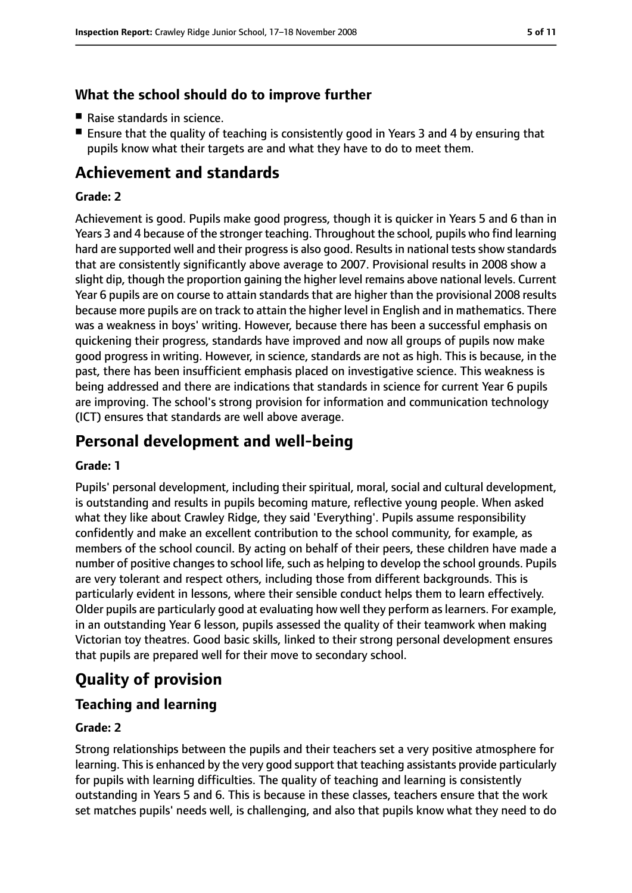## **What the school should do to improve further**

- Raise standards in science.
- Ensure that the quality of teaching is consistently good in Years 3 and 4 by ensuring that pupils know what their targets are and what they have to do to meet them.

# **Achievement and standards**

#### **Grade: 2**

Achievement is good. Pupils make good progress, though it is quicker in Years 5 and 6 than in Years 3 and 4 because of the stronger teaching. Throughout the school, pupils who find learning hard are supported well and their progress is also good. Results in national tests show standards that are consistently significantly above average to 2007. Provisional results in 2008 show a slight dip, though the proportion gaining the higher level remains above national levels. Current Year 6 pupils are on course to attain standards that are higher than the provisional 2008 results because more pupils are on track to attain the higher level in English and in mathematics. There was a weakness in boys' writing. However, because there has been a successful emphasis on quickening their progress, standards have improved and now all groups of pupils now make good progress in writing. However, in science, standards are not as high. This is because, in the past, there has been insufficient emphasis placed on investigative science. This weakness is being addressed and there are indications that standards in science for current Year 6 pupils are improving. The school's strong provision for information and communication technology (ICT) ensures that standards are well above average.

# **Personal development and well-being**

#### **Grade: 1**

Pupils' personal development, including their spiritual, moral, social and cultural development, is outstanding and results in pupils becoming mature, reflective young people. When asked what they like about Crawley Ridge, they said 'Everything'. Pupils assume responsibility confidently and make an excellent contribution to the school community, for example, as members of the school council. By acting on behalf of their peers, these children have made a number of positive changes to school life, such as helping to develop the school grounds. Pupils are very tolerant and respect others, including those from different backgrounds. This is particularly evident in lessons, where their sensible conduct helps them to learn effectively. Older pupils are particularly good at evaluating how well they perform aslearners. For example, in an outstanding Year 6 lesson, pupils assessed the quality of their teamwork when making Victorian toy theatres. Good basic skills, linked to their strong personal development ensures that pupils are prepared well for their move to secondary school.

# **Quality of provision**

## **Teaching and learning**

#### **Grade: 2**

Strong relationships between the pupils and their teachers set a very positive atmosphere for learning. This is enhanced by the very good support that teaching assistants provide particularly for pupils with learning difficulties. The quality of teaching and learning is consistently outstanding in Years 5 and 6. This is because in these classes, teachers ensure that the work set matches pupils' needs well, is challenging, and also that pupils know what they need to do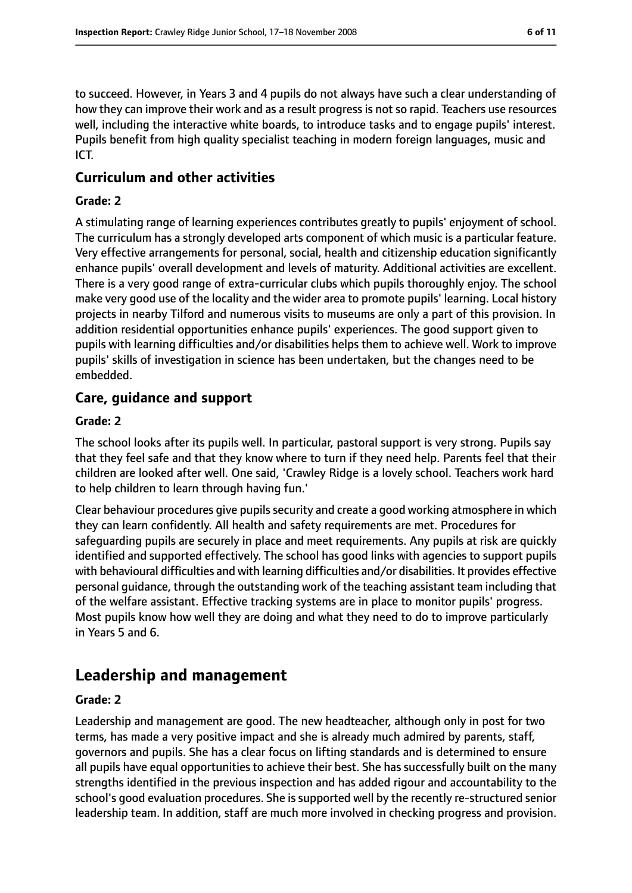to succeed. However, in Years 3 and 4 pupils do not always have such a clear understanding of how they can improve their work and as a result progress is not so rapid. Teachers use resources well, including the interactive white boards, to introduce tasks and to engage pupils' interest. Pupils benefit from high quality specialist teaching in modern foreign languages, music and ICT.

#### **Curriculum and other activities**

#### **Grade: 2**

A stimulating range of learning experiences contributes greatly to pupils' enjoyment of school. The curriculum has a strongly developed arts component of which music is a particular feature. Very effective arrangements for personal, social, health and citizenship education significantly enhance pupils' overall development and levels of maturity. Additional activities are excellent. There is a very good range of extra-curricular clubs which pupils thoroughly enjoy. The school make very good use of the locality and the wider area to promote pupils' learning. Local history projects in nearby Tilford and numerous visits to museums are only a part of this provision. In addition residential opportunities enhance pupils' experiences. The good support given to pupils with learning difficulties and/or disabilities helps them to achieve well. Work to improve pupils' skills of investigation in science has been undertaken, but the changes need to be embedded.

### **Care, guidance and support**

#### **Grade: 2**

The school looks after its pupils well. In particular, pastoral support is very strong. Pupils say that they feel safe and that they know where to turn if they need help. Parents feel that their children are looked after well. One said, 'Crawley Ridge is a lovely school. Teachers work hard to help children to learn through having fun.'

Clear behaviour procedures give pupils security and create a good working atmosphere in which they can learn confidently. All health and safety requirements are met. Procedures for safeguarding pupils are securely in place and meet requirements. Any pupils at risk are quickly identified and supported effectively. The school has good links with agencies to support pupils with behavioural difficulties and with learning difficulties and/or disabilities. It provides effective personal guidance, through the outstanding work of the teaching assistant team including that of the welfare assistant. Effective tracking systems are in place to monitor pupils' progress. Most pupils know how well they are doing and what they need to do to improve particularly in Years 5 and 6.

## **Leadership and management**

#### **Grade: 2**

Leadership and management are good. The new headteacher, although only in post for two terms, has made a very positive impact and she is already much admired by parents, staff, governors and pupils. She has a clear focus on lifting standards and is determined to ensure all pupils have equal opportunities to achieve their best. She has successfully built on the many strengths identified in the previous inspection and has added rigour and accountability to the school's good evaluation procedures. She is supported well by the recently re-structured senior leadership team. In addition, staff are much more involved in checking progress and provision.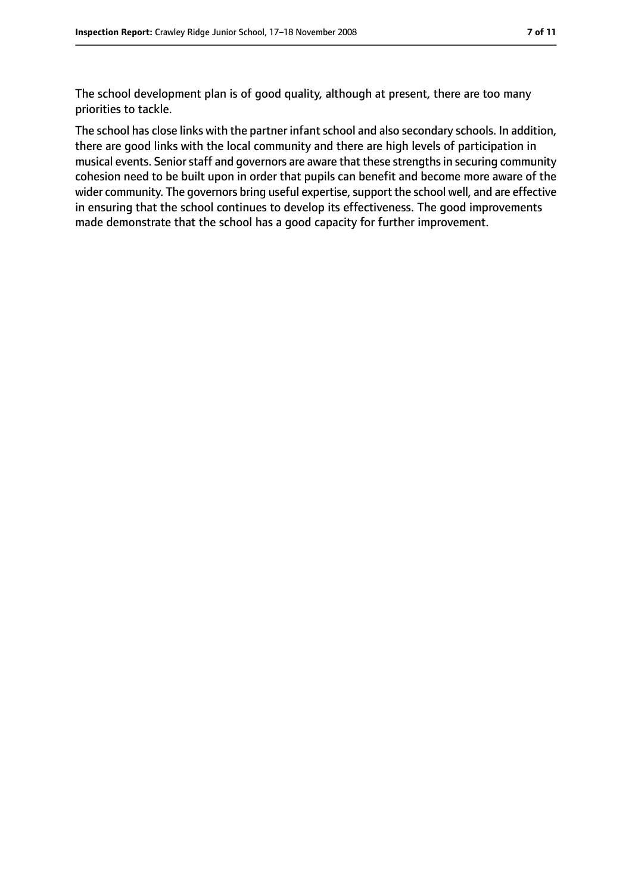The school development plan is of good quality, although at present, there are too many priorities to tackle.

The school has close links with the partner infant school and also secondary schools. In addition, there are good links with the local community and there are high levels of participation in musical events. Senior staff and governors are aware that these strengths in securing community cohesion need to be built upon in order that pupils can benefit and become more aware of the wider community. The governors bring useful expertise, support the school well, and are effective in ensuring that the school continues to develop its effectiveness. The good improvements made demonstrate that the school has a good capacity for further improvement.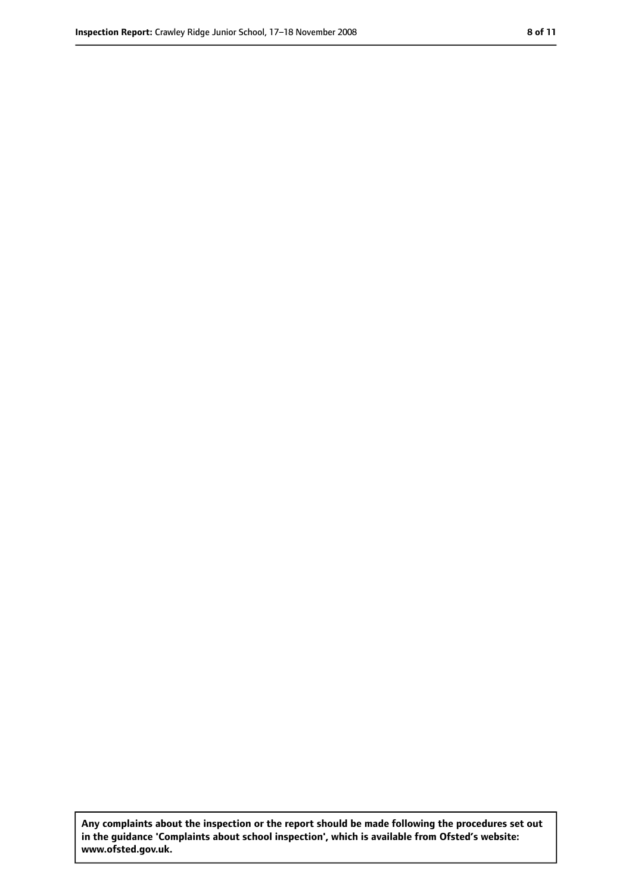**Any complaints about the inspection or the report should be made following the procedures set out in the guidance 'Complaints about school inspection', which is available from Ofsted's website: www.ofsted.gov.uk.**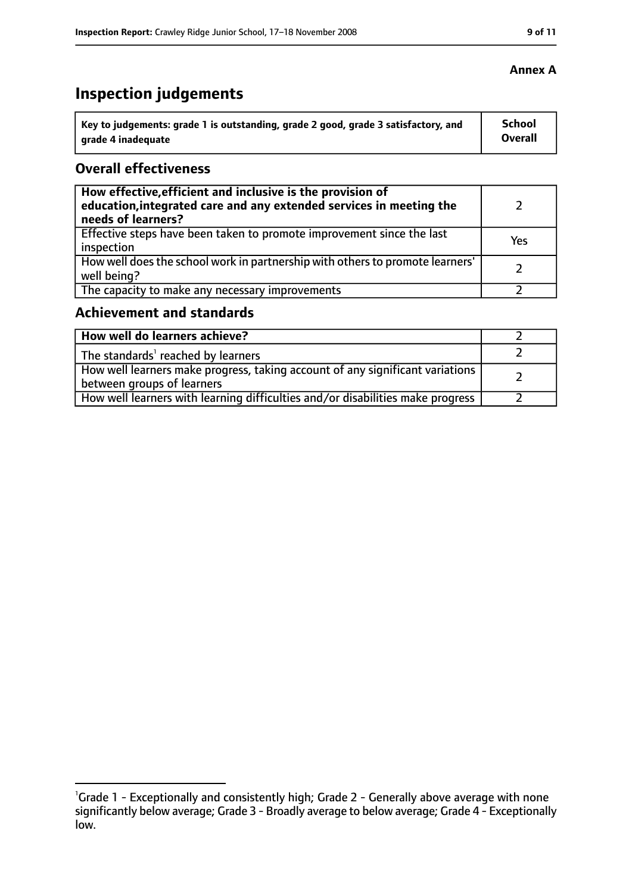# **Inspection judgements**

| Key to judgements: grade 1 is outstanding, grade 2 good, grade 3 satisfactory, and | <b>School</b>  |
|------------------------------------------------------------------------------------|----------------|
| arade 4 inadequate                                                                 | <b>Overall</b> |

## **Overall effectiveness**

| How effective, efficient and inclusive is the provision of<br>education, integrated care and any extended services in meeting the<br>needs of learners? |     |
|---------------------------------------------------------------------------------------------------------------------------------------------------------|-----|
| Effective steps have been taken to promote improvement since the last<br>inspection                                                                     | Yes |
| How well does the school work in partnership with others to promote learners'<br>well being?                                                            |     |
| The capacity to make any necessary improvements                                                                                                         |     |

# **Achievement and standards**

| How well do learners achieve?                                                                                 |  |
|---------------------------------------------------------------------------------------------------------------|--|
| $\vert$ The standards <sup>1</sup> reached by learners                                                        |  |
| How well learners make progress, taking account of any significant variations  <br>between groups of learners |  |
| How well learners with learning difficulties and/or disabilities make progress                                |  |

#### **Annex A**

<sup>&</sup>lt;sup>1</sup>Grade 1 - Exceptionally and consistently high; Grade 2 - Generally above average with none significantly below average; Grade 3 - Broadly average to below average; Grade 4 - Exceptionally low.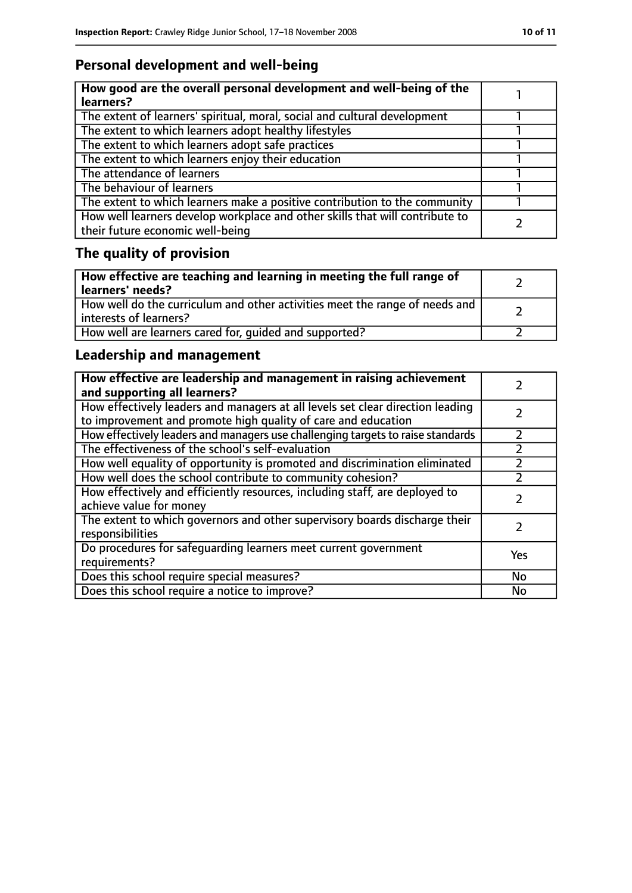# **Personal development and well-being**

| How good are the overall personal development and well-being of the<br>learners?                                 |  |
|------------------------------------------------------------------------------------------------------------------|--|
| The extent of learners' spiritual, moral, social and cultural development                                        |  |
| The extent to which learners adopt healthy lifestyles                                                            |  |
| The extent to which learners adopt safe practices                                                                |  |
| The extent to which learners enjoy their education                                                               |  |
| The attendance of learners                                                                                       |  |
| The behaviour of learners                                                                                        |  |
| The extent to which learners make a positive contribution to the community                                       |  |
| How well learners develop workplace and other skills that will contribute to<br>their future economic well-being |  |

# **The quality of provision**

| How effective are teaching and learning in meeting the full range of<br>learners' needs?              |  |
|-------------------------------------------------------------------------------------------------------|--|
| How well do the curriculum and other activities meet the range of needs and<br>interests of learners? |  |
| How well are learners cared for, quided and supported?                                                |  |

## **Leadership and management**

| How effective are leadership and management in raising achievement<br>and supporting all learners?                                              |     |
|-------------------------------------------------------------------------------------------------------------------------------------------------|-----|
| How effectively leaders and managers at all levels set clear direction leading<br>to improvement and promote high quality of care and education |     |
| How effectively leaders and managers use challenging targets to raise standards                                                                 |     |
| The effectiveness of the school's self-evaluation                                                                                               |     |
| How well equality of opportunity is promoted and discrimination eliminated                                                                      |     |
| How well does the school contribute to community cohesion?                                                                                      |     |
| How effectively and efficiently resources, including staff, are deployed to<br>achieve value for money                                          |     |
| The extent to which governors and other supervisory boards discharge their<br>responsibilities                                                  |     |
| Do procedures for safequarding learners meet current government<br>requirements?                                                                | Yes |
| Does this school require special measures?                                                                                                      | No  |
| Does this school require a notice to improve?                                                                                                   | No  |